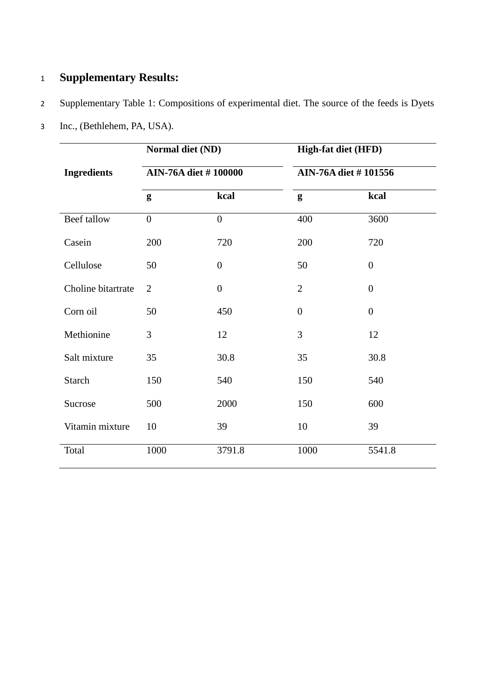## 1 **Supplementary Results:**

## 2 Supplementary Table 1: Compositions of experimental diet. The source of the feeds is Dyets

| 3 <sup>7</sup> | Inc., (Bethlehem, PA, USA). |
|----------------|-----------------------------|
|                |                             |

|                    | Normal diet (ND)            |                | <b>High-fat diet (HFD)</b> |                  |  |
|--------------------|-----------------------------|----------------|----------------------------|------------------|--|
| <b>Ingredients</b> | <b>AIN-76A diet #100000</b> |                | AIN-76A diet #101556       |                  |  |
|                    | g                           | kcal           | g                          | kcal             |  |
| Beef tallow        | $\overline{0}$              | $\overline{0}$ | 400                        | 3600             |  |
| Casein             | 200                         | 720            | 200                        | 720              |  |
| Cellulose          | 50                          | $\overline{0}$ | 50                         | $\overline{0}$   |  |
| Choline bitartrate | $\overline{2}$              | $\overline{0}$ | $\overline{2}$             | $\boldsymbol{0}$ |  |
| Corn oil           | 50                          | 450            | $\Omega$                   | $\overline{0}$   |  |
| Methionine         | 3                           | 12             | 3                          | 12               |  |
| Salt mixture       | 35                          | 30.8           | 35                         | 30.8             |  |
| <b>Starch</b>      | 150                         | 540            | 150                        | 540              |  |
| Sucrose            | 500                         | 2000           | 150                        | 600              |  |
| Vitamin mixture    | 10                          | 39             | 10                         | 39               |  |
| Total              | 1000                        | 3791.8         | 1000                       | 5541.8           |  |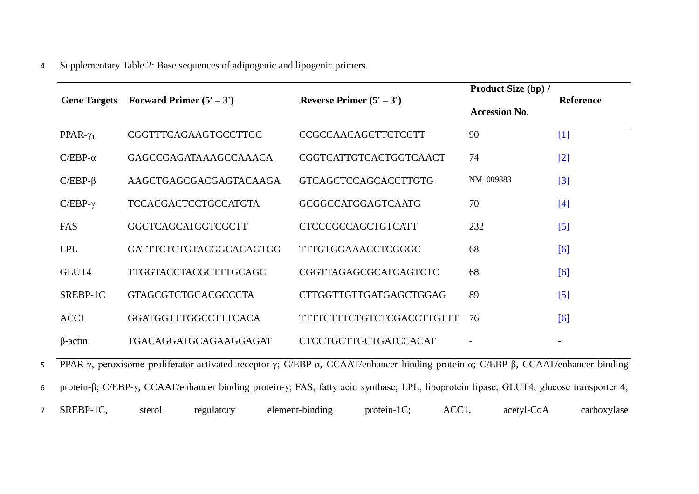## 4 Supplementary Table 2: Base sequences of adipogenic and lipogenic primers.

| <b>Gene Targets</b> | Forward Primer $(5' – 3')$   | Reverse Primer $(5' – 3')$       | Product Size (bp) /<br><b>Reference</b> |                   |  |
|---------------------|------------------------------|----------------------------------|-----------------------------------------|-------------------|--|
|                     |                              |                                  | <b>Accession No.</b>                    |                   |  |
| PPAR- $\gamma_1$    | CGGTTTCAGAAGTGCCTTGC         | <b>CCGCCAACAGCTTCTCCTT</b>       | 90                                      | $[1]$             |  |
| $C/EBP-\alpha$      | GAGCCGAGATAAAGCCAAACA        | CGGTCATTGTCACTGGTCAACT           | 74                                      | $[2]$             |  |
| $C/EBP-\beta$       | AAGCTGAGCGACGAGTACAAGA       | <b>GTCAGCTCCAGCACCTTGTG</b>      | NM_009883                               | $[3]$             |  |
| $C/EBP-\gamma$      | <b>TCCACGACTCCTGCCATGTA</b>  | <b>GCGGCCATGGAGTCAATG</b>        | 70                                      | $[4]$             |  |
| FAS                 | GGCTCAGCATGGTCGCTT           | <b>CTCCCGCCAGCTGTCATT</b>        | 232                                     | $\lceil 5 \rceil$ |  |
| <b>LPL</b>          | GATTTCTCTGTACGGCACAGTGG      | <b>TTTGTGGAAACCTCGGGC</b>        | 68                                      | [6]               |  |
| GLUT4               | <b>TTGGTACCTACGCTTTGCAGC</b> | CGGTTAGAGCGCATCAGTCTC            | 68                                      | [6]               |  |
| SREBP-1C            | <b>GTAGCGTCTGCACGCCCTA</b>   | CTTGGTTGTTGATGAGCTGGAG           | 89                                      | $\left[5\right]$  |  |
| ACC <sub>1</sub>    | GGATGGTTTGGCCTTTCACA         | <b>TTTTCTTTCTGTCTCGACCTTGTTT</b> | 76                                      | [6]               |  |
| $\beta$ -actin      | TGACAGGATGCAGAAGGAGAT        | <b>CTCCTGCTTGCTGATCCACAT</b>     |                                         |                   |  |

5 PPAR-γ, peroxisome proliferator-activated receptor-γ; C/EBP-α, CCAAT/enhancer binding protein-α; C/EBP-β, CCAAT/enhancer binding 6 protein-β; C/EBP-γ, CCAAT/enhancer binding protein-γ; FAS, fatty acid synthase; LPL, lipoprotein lipase; GLUT4, glucose transporter 4;

7 SREBP-1C, sterol regulatory element-binding protein-1C; ACC1, acetyl-CoA carboxylase